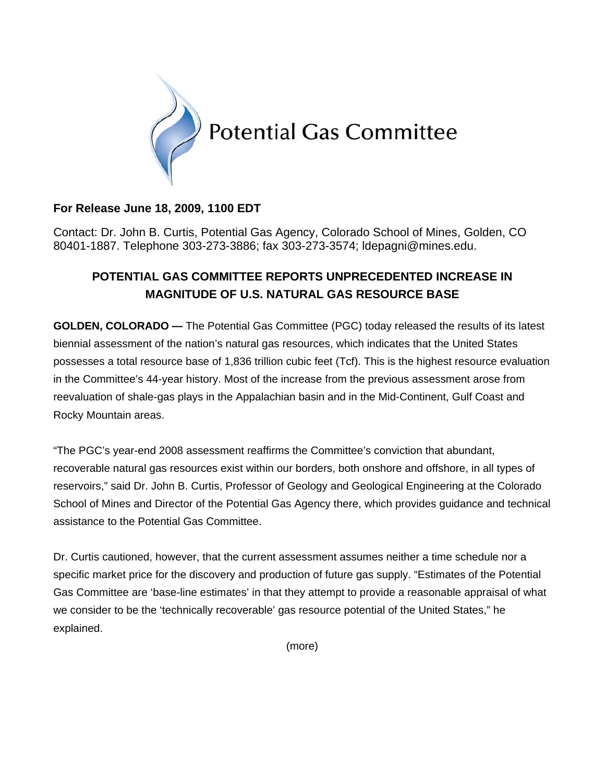

## **For Release June 18, 2009, 1100 EDT**

Contact: Dr. John B. Curtis, Potential Gas Agency, Colorado School of Mines, Golden, CO 80401-1887. Telephone 303-273-3886; fax 303-273-3574; ldepagni@mines.edu.

# **POTENTIAL GAS COMMITTEE REPORTS UNPRECEDENTED INCREASE IN MAGNITUDE OF U.S. NATURAL GAS RESOURCE BASE**

**GOLDEN, COLORADO —** The Potential Gas Committee (PGC) today released the results of its latest biennial assessment of the nation's natural gas resources, which indicates that the United States possesses a total resource base of 1,836 trillion cubic feet (Tcf). This is the highest resource evaluation in the Committee's 44-year history. Most of the increase from the previous assessment arose from reevaluation of shale-gas plays in the Appalachian basin and in the Mid-Continent, Gulf Coast and Rocky Mountain areas.

"The PGC's year-end 2008 assessment reaffirms the Committee's conviction that abundant, recoverable natural gas resources exist within our borders, both onshore and offshore, in all types of reservoirs," said Dr. John B. Curtis, Professor of Geology and Geological Engineering at the Colorado School of Mines and Director of the Potential Gas Agency there, which provides guidance and technical assistance to the Potential Gas Committee.

Dr. Curtis cautioned, however, that the current assessment assumes neither a time schedule nor a specific market price for the discovery and production of future gas supply. "Estimates of the Potential Gas Committee are 'base-line estimates' in that they attempt to provide a reasonable appraisal of what we consider to be the 'technically recoverable' gas resource potential of the United States," he explained.

(more)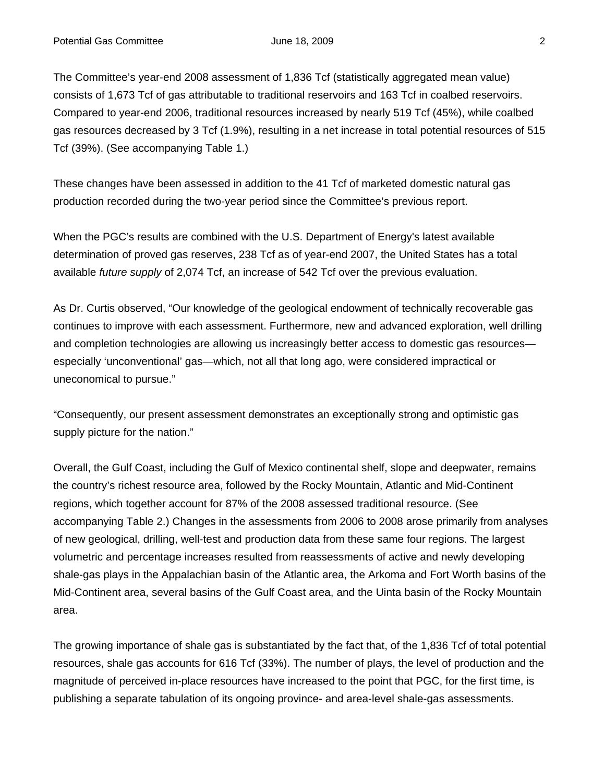The Committee's year-end 2008 assessment of 1,836 Tcf (statistically aggregated mean value) consists of 1,673 Tcf of gas attributable to traditional reservoirs and 163 Tcf in coalbed reservoirs. Compared to year-end 2006, traditional resources increased by nearly 519 Tcf (45%), while coalbed gas resources decreased by 3 Tcf (1.9%), resulting in a net increase in total potential resources of 515 Tcf (39%). (See accompanying Table 1.)

These changes have been assessed in addition to the 41 Tcf of marketed domestic natural gas production recorded during the two-year period since the Committee's previous report.

When the PGC's results are combined with the U.S. Department of Energy's latest available determination of proved gas reserves, 238 Tcf as of year-end 2007, the United States has a total available *future supply* of 2,074 Tcf, an increase of 542 Tcf over the previous evaluation.

As Dr. Curtis observed, "Our knowledge of the geological endowment of technically recoverable gas continues to improve with each assessment. Furthermore, new and advanced exploration, well drilling and completion technologies are allowing us increasingly better access to domestic gas resources especially 'unconventional' gas—which, not all that long ago, were considered impractical or uneconomical to pursue."

"Consequently, our present assessment demonstrates an exceptionally strong and optimistic gas supply picture for the nation."

Overall, the Gulf Coast, including the Gulf of Mexico continental shelf, slope and deepwater, remains the country's richest resource area, followed by the Rocky Mountain, Atlantic and Mid-Continent regions, which together account for 87% of the 2008 assessed traditional resource. (See accompanying Table 2.) Changes in the assessments from 2006 to 2008 arose primarily from analyses of new geological, drilling, well-test and production data from these same four regions. The largest volumetric and percentage increases resulted from reassessments of active and newly developing shale-gas plays in the Appalachian basin of the Atlantic area, the Arkoma and Fort Worth basins of the Mid-Continent area, several basins of the Gulf Coast area, and the Uinta basin of the Rocky Mountain area.

The growing importance of shale gas is substantiated by the fact that, of the 1,836 Tcf of total potential resources, shale gas accounts for 616 Tcf (33%). The number of plays, the level of production and the magnitude of perceived in-place resources have increased to the point that PGC, for the first time, is publishing a separate tabulation of its ongoing province- and area-level shale-gas assessments.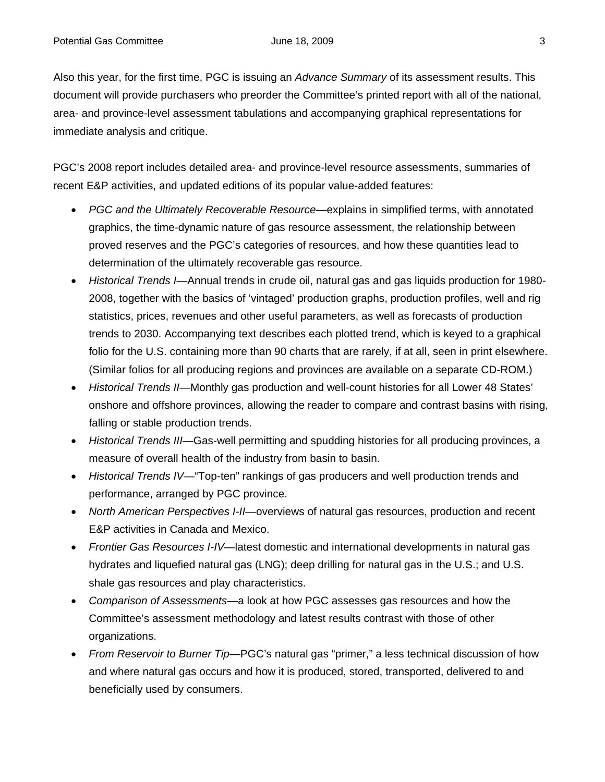Also this year, for the first time, PGC is issuing an *Advance Summary* of its assessment results. This document will provide purchasers who preorder the Committee's printed report with all of the national, area- and province-level assessment tabulations and accompanying graphical representations for immediate analysis and critique.

PGC's 2008 report includes detailed area- and province-level resource assessments, summaries of recent E&P activities, and updated editions of its popular value-added features:

- *PGC and the Ultimately Recoverable Resource*—explains in simplified terms, with annotated graphics, the time-dynamic nature of gas resource assessment, the relationship between proved reserves and the PGC's categories of resources, and how these quantities lead to determination of the ultimately recoverable gas resource.
- *Historical Trends I*—Annual trends in crude oil, natural gas and gas liquids production for 1980- 2008, together with the basics of 'vintaged' production graphs, production profiles, well and rig statistics, prices, revenues and other useful parameters, as well as forecasts of production trends to 2030. Accompanying text describes each plotted trend, which is keyed to a graphical folio for the U.S. containing more than 90 charts that are rarely, if at all, seen in print elsewhere. (Similar folios for all producing regions and provinces are available on a separate CD-ROM.)
- *Historical Trends II*—Monthly gas production and well-count histories for all Lower 48 States' onshore and offshore provinces, allowing the reader to compare and contrast basins with rising, falling or stable production trends.
- *Historical Trends III—Gas-well permitting and spudding histories for all producing provinces, a* measure of overall health of the industry from basin to basin.
- *Historical Trends IV*—"Top-ten" rankings of gas producers and well production trends and performance, arranged by PGC province.
- *North American Perspectives I-II*—overviews of natural gas resources, production and recent E&P activities in Canada and Mexico.
- *Frontier Gas Resources I-IV*—latest domestic and international developments in natural gas hydrates and liquefied natural gas (LNG); deep drilling for natural gas in the U.S.; and U.S. shale gas resources and play characteristics.
- *Comparison of Assessments*—a look at how PGC assesses gas resources and how the Committee's assessment methodology and latest results contrast with those of other organizations.
- *From Reservoir to Burner Tip*—PGC's natural gas "primer," a less technical discussion of how and where natural gas occurs and how it is produced, stored, transported, delivered to and beneficially used by consumers.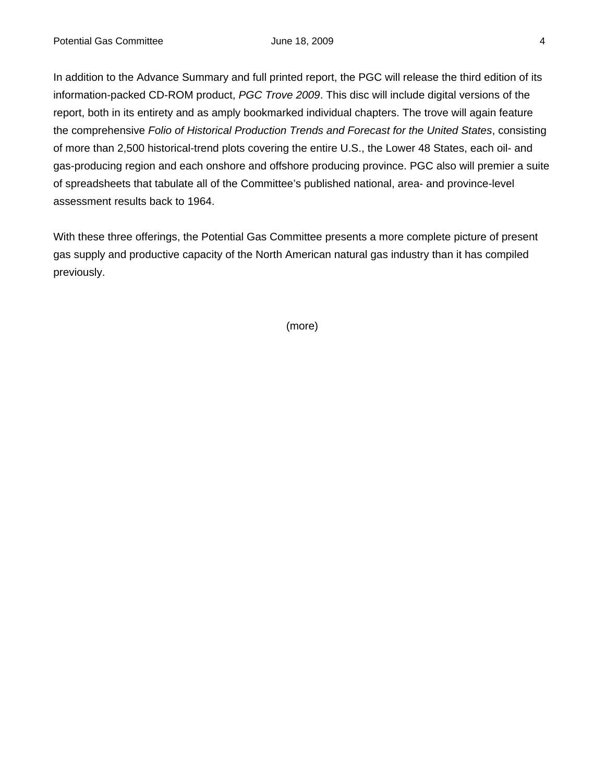In addition to the Advance Summary and full printed report, the PGC will release the third edition of its information-packed CD-ROM product, *PGC Trove 2009*. This disc will include digital versions of the report, both in its entirety and as amply bookmarked individual chapters. The trove will again feature the comprehensive *Folio of Historical Production Trends and Forecast for the United States*, consisting of more than 2,500 historical-trend plots covering the entire U.S., the Lower 48 States, each oil- and gas-producing region and each onshore and offshore producing province. PGC also will premier a suite of spreadsheets that tabulate all of the Committee's published national, area- and province-level assessment results back to 1964.

With these three offerings, the Potential Gas Committee presents a more complete picture of present gas supply and productive capacity of the North American natural gas industry than it has compiled previously.

(more)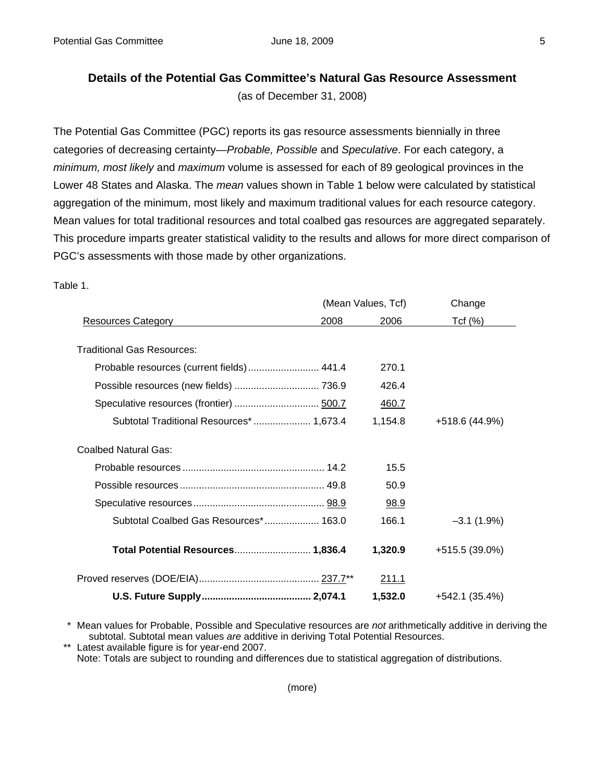### **Details of the Potential Gas Committee's Natural Gas Resource Assessment**

(as of December 31, 2008)

The Potential Gas Committee (PGC) reports its gas resource assessments biennially in three categories of decreasing certainty—*Probable, Possible* and *Speculative*. For each category, a *minimum, most likely* and *maximum* volume is assessed for each of 89 geological provinces in the Lower 48 States and Alaska. The *mean* values shown in Table 1 below were calculated by statistical aggregation of the minimum, most likely and maximum traditional values for each resource category. Mean values for total traditional resources and total coalbed gas resources are aggregated separately. This procedure imparts greater statistical validity to the results and allows for more direct comparison of PGC's assessments with those made by other organizations.

#### Table 1.

|                                           | (Mean Values, Tcf) |         | Change         |
|-------------------------------------------|--------------------|---------|----------------|
| <b>Resources Category</b>                 | 2008               | 2006    | Tcf(%)         |
|                                           |                    |         |                |
| <b>Traditional Gas Resources:</b>         |                    |         |                |
| Probable resources (current fields) 441.4 |                    | 270.1   |                |
|                                           |                    | 426.4   |                |
|                                           |                    | 460.7   |                |
| Subtotal Traditional Resources*  1,673.4  |                    | 1,154.8 | +518.6 (44.9%) |
| <b>Coalbed Natural Gas:</b>               |                    |         |                |
|                                           |                    | 15.5    |                |
|                                           |                    | 50.9    |                |
|                                           |                    | 98.9    |                |
| Subtotal Coalbed Gas Resources* 163.0     |                    | 166.1   | $-3.1(1.9%)$   |
| Total Potential Resources 1,836.4         |                    | 1,320.9 | +515.5 (39.0%) |
|                                           |                    | 211.1   |                |
|                                           |                    | 1,532.0 | +542.1 (35.4%) |

 \* Mean values for Probable, Possible and Speculative resources are *not* arithmetically additive in deriving the subtotal. Subtotal mean values *are* additive in deriving Total Potential Resources.

\*\* Latest available figure is for year-end 2007.

Note: Totals are subject to rounding and differences due to statistical aggregation of distributions.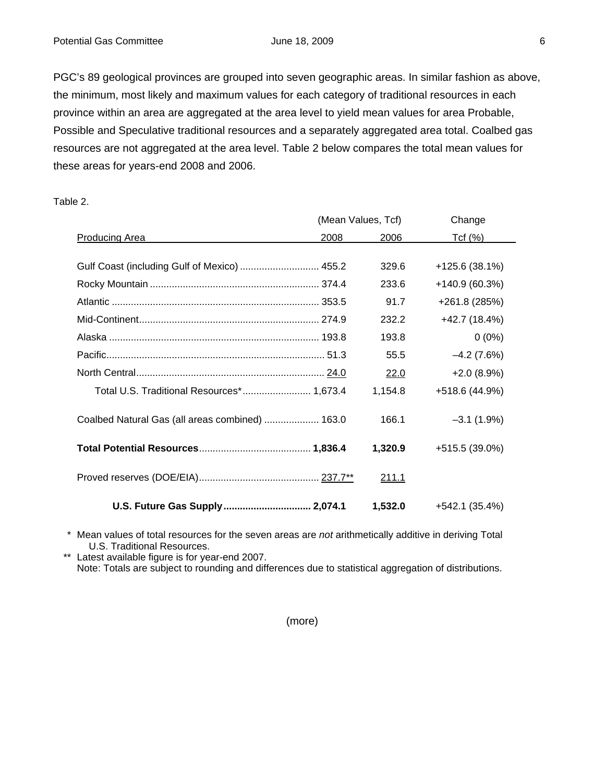PGC's 89 geological provinces are grouped into seven geographic areas. In similar fashion as above, the minimum, most likely and maximum values for each category of traditional resources in each province within an area are aggregated at the area level to yield mean values for area Probable, Possible and Speculative traditional resources and a separately aggregated area total. Coalbed gas resources are not aggregated at the area level. Table 2 below compares the total mean values for these areas for years-end 2008 and 2006.

Table 2.

|                                                 | (Mean Values, Tcf) |              | Change          |
|-------------------------------------------------|--------------------|--------------|-----------------|
| <b>Producing Area</b>                           | 2008               | 2006         | Tcf(%)          |
|                                                 |                    |              |                 |
| Gulf Coast (including Gulf of Mexico)  455.2    |                    | 329.6        | $+125.6(38.1%)$ |
|                                                 |                    | 233.6        | $+140.9(60.3%)$ |
|                                                 |                    | 91.7         | +261.8 (285%)   |
|                                                 |                    | 232.2        | +42.7 (18.4%)   |
|                                                 |                    | 193.8        | $0(0\%)$        |
|                                                 |                    | 55.5         | $-4.2(7.6%)$    |
|                                                 |                    | 22.0         | $+2.0(8.9%)$    |
| Total U.S. Traditional Resources* 1,673.4       |                    | 1,154.8      | +518.6 (44.9%)  |
| Coalbed Natural Gas (all areas combined)  163.0 |                    | 166.1        | $-3.1(1.9%)$    |
|                                                 |                    | 1,320.9      | +515.5 (39.0%)  |
|                                                 |                    | <u>211.1</u> |                 |
| U.S. Future Gas Supply 2,074.1                  |                    | 1,532.0      | $+542.1(35.4%)$ |

 \* Mean values of total resources for the seven areas are *not* arithmetically additive in deriving Total U.S. Traditional Resources.

 \*\* Latest available figure is for year-end 2007. Note: Totals are subject to rounding and differences due to statistical aggregation of distributions.

(more)